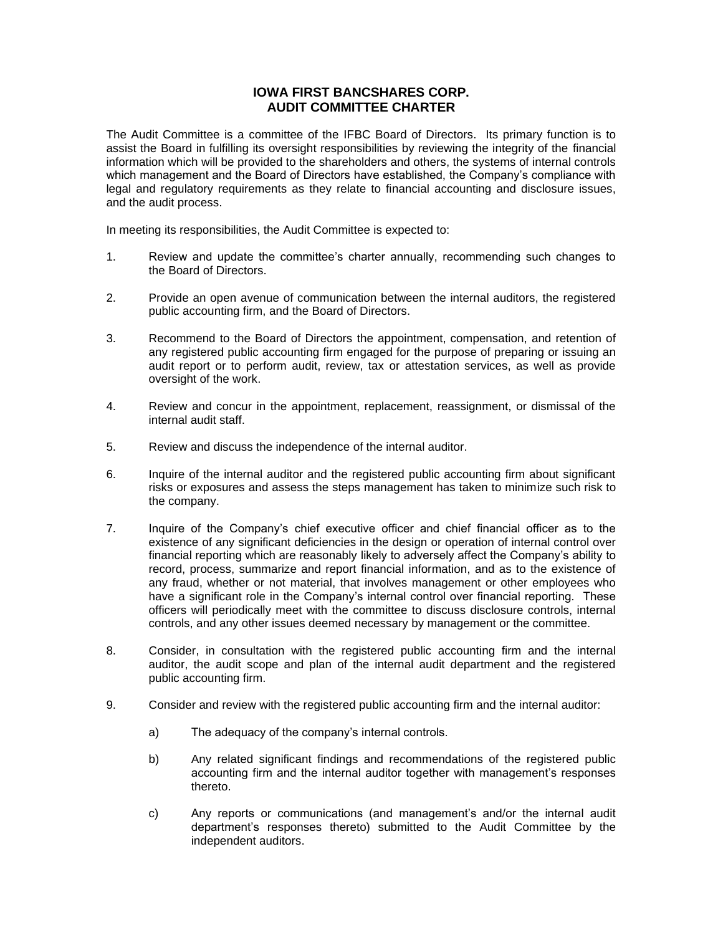## **IOWA FIRST BANCSHARES CORP. AUDIT COMMITTEE CHARTER**

The Audit Committee is a committee of the IFBC Board of Directors. Its primary function is to assist the Board in fulfilling its oversight responsibilities by reviewing the integrity of the financial information which will be provided to the shareholders and others, the systems of internal controls which management and the Board of Directors have established, the Company's compliance with legal and regulatory requirements as they relate to financial accounting and disclosure issues, and the audit process.

In meeting its responsibilities, the Audit Committee is expected to:

- 1. Review and update the committee's charter annually, recommending such changes to the Board of Directors.
- 2. Provide an open avenue of communication between the internal auditors, the registered public accounting firm, and the Board of Directors.
- 3. Recommend to the Board of Directors the appointment, compensation, and retention of any registered public accounting firm engaged for the purpose of preparing or issuing an audit report or to perform audit, review, tax or attestation services, as well as provide oversight of the work.
- 4. Review and concur in the appointment, replacement, reassignment, or dismissal of the internal audit staff.
- 5. Review and discuss the independence of the internal auditor.
- 6. Inquire of the internal auditor and the registered public accounting firm about significant risks or exposures and assess the steps management has taken to minimize such risk to the company.
- 7. Inquire of the Company's chief executive officer and chief financial officer as to the existence of any significant deficiencies in the design or operation of internal control over financial reporting which are reasonably likely to adversely affect the Company's ability to record, process, summarize and report financial information, and as to the existence of any fraud, whether or not material, that involves management or other employees who have a significant role in the Company's internal control over financial reporting. These officers will periodically meet with the committee to discuss disclosure controls, internal controls, and any other issues deemed necessary by management or the committee.
- 8. Consider, in consultation with the registered public accounting firm and the internal auditor, the audit scope and plan of the internal audit department and the registered public accounting firm.
- 9. Consider and review with the registered public accounting firm and the internal auditor:
	- a) The adequacy of the company's internal controls.
	- b) Any related significant findings and recommendations of the registered public accounting firm and the internal auditor together with management's responses thereto.
	- c) Any reports or communications (and management's and/or the internal audit department's responses thereto) submitted to the Audit Committee by the independent auditors.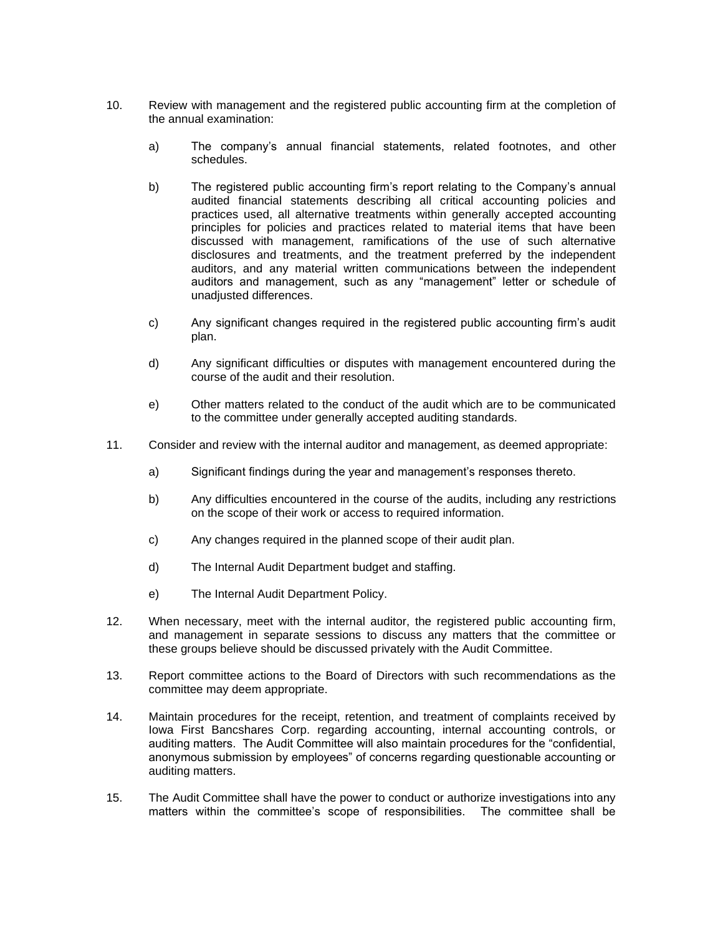- 10. Review with management and the registered public accounting firm at the completion of the annual examination:
	- a) The company's annual financial statements, related footnotes, and other schedules.
	- b) The registered public accounting firm's report relating to the Company's annual audited financial statements describing all critical accounting policies and practices used, all alternative treatments within generally accepted accounting principles for policies and practices related to material items that have been discussed with management, ramifications of the use of such alternative disclosures and treatments, and the treatment preferred by the independent auditors, and any material written communications between the independent auditors and management, such as any "management" letter or schedule of unadjusted differences.
	- c) Any significant changes required in the registered public accounting firm's audit plan.
	- d) Any significant difficulties or disputes with management encountered during the course of the audit and their resolution.
	- e) Other matters related to the conduct of the audit which are to be communicated to the committee under generally accepted auditing standards.
- 11. Consider and review with the internal auditor and management, as deemed appropriate:
	- a) Significant findings during the year and management's responses thereto.
	- b) Any difficulties encountered in the course of the audits, including any restrictions on the scope of their work or access to required information.
	- c) Any changes required in the planned scope of their audit plan.
	- d) The Internal Audit Department budget and staffing.
	- e) The Internal Audit Department Policy.
- 12. When necessary, meet with the internal auditor, the registered public accounting firm, and management in separate sessions to discuss any matters that the committee or these groups believe should be discussed privately with the Audit Committee.
- 13. Report committee actions to the Board of Directors with such recommendations as the committee may deem appropriate.
- 14. Maintain procedures for the receipt, retention, and treatment of complaints received by Iowa First Bancshares Corp. regarding accounting, internal accounting controls, or auditing matters. The Audit Committee will also maintain procedures for the "confidential, anonymous submission by employees" of concerns regarding questionable accounting or auditing matters.
- 15. The Audit Committee shall have the power to conduct or authorize investigations into any matters within the committee's scope of responsibilities. The committee shall be